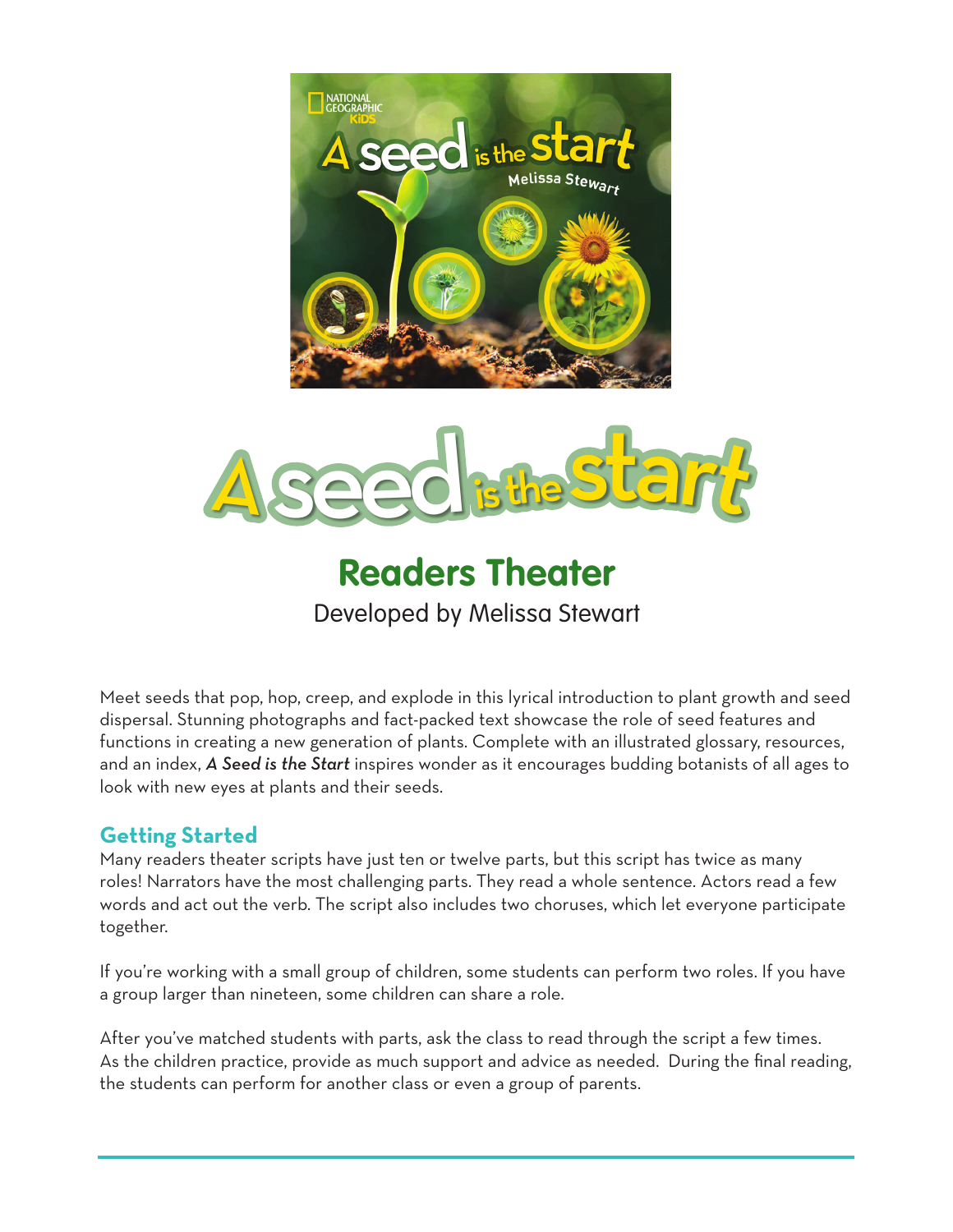



## **Readers Theater** Developed by Melissa Stewart

Meet seeds that pop, hop, creep, and explode in this lyrical introduction to plant growth and seed dispersal. Stunning photographs and fact-packed text showcase the role of seed features and functions in creating a new generation of plants. Complete with an illustrated glossary, resources, and an index, *A Seed is the Start* inspires wonder as it encourages budding botanists of all ages to look with new eyes at plants and their seeds.

## **Getting Started**

Many readers theater scripts have just ten or twelve parts, but this script has twice as many roles! Narrators have the most challenging parts. They read a whole sentence. Actors read a few words and act out the verb. The script also includes two choruses, which let everyone participate together.

If you're working with a small group of children, some students can perform two roles. If you have a group larger than nineteen, some children can share a role.

After you've matched students with parts, ask the class to read through the script a few times. As the children practice, provide as much support and advice as needed. During the final reading, the students can perform for another class or even a group of parents.